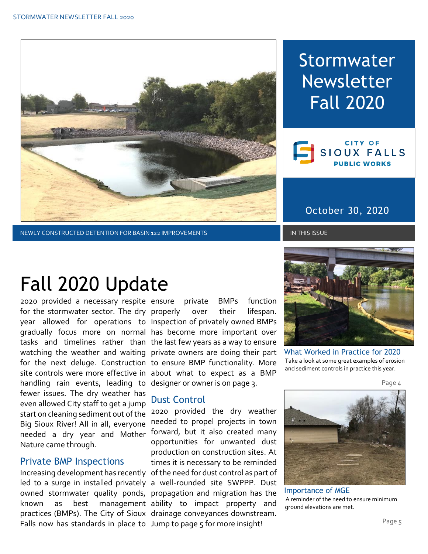

NEWLY CONSTRUCTED DETENTION FOR BASIN 122 IMPROVEMENTS IN THIS ISSUE IN THIS ISSUE

# Stormwater Newsletter Fall 2020



### October 30, 2020

# Fall 2020 Update

2020 provided a necessary respite ensure private BMPs function for the stormwater sector. The dry properly over their lifespan. year allowed for operations to Inspection of privately owned BMPs gradually focus more on normal has become more important over tasks and timelines rather than the last few years as a way to ensure watching the weather and waiting private owners are doing their part for the next deluge. Construction to ensure BMP functionality. More site controls were more effective in about what to expect as a BMP handling rain events, leading to designer or owner is on page 3. fewer issues. The dry weather has even allowed City staff to get a jump start on cleaning sediment out of the 2020 provided the dry weather Big Sioux River! All in all, everyone needed a dry year and Mother forward, but it also created many Nature came through.

#### Private BMP Inspections

Falls now has standards in place to Jump to page 5 for more insight!

#### Dust Control

Increasing development has recently of the need for dust control as part of led to a surge in installed privately a well-rounded site SWPPP. Dust owned stormwater quality ponds, propagation and migration has the known as best management-ability to impact property and practices (BMPs). The City of Sioux drainage conveyances downstream. needed to propel projects in town opportunities for unwanted dust production on construction sites. At times it is necessary to be reminded



What Worked in Practice for 2020 Take a look at some great examples of erosion and sediment controls in practice this year.

Page 4



Importance of MGE A reminder of the need to ensure minimum ground elevations are met.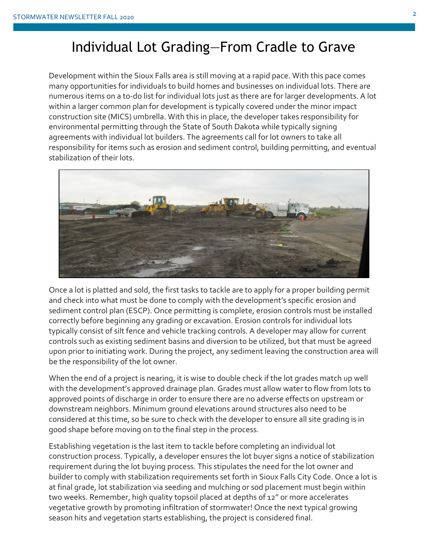### Individual Lot Grading—From Cradle to Grave

Development within the Sioux Falls area is still moving at a rapid pace. With this pace comes many opportunities for individuals to build homes and businesses on individual lots. There are numerous items on a to-do list for individual lots just as there are for larger developments. A lot within a larger common plan for development is typically covered under the minor impact construction site (MICS) umbrella. With this in place, the developer takes responsibility for environmental permitting through the State of South Dakota while typically signing agreements with individual lot builders. The agreements call for lot owners to take all responsibility for items such as erosion and sediment control, building permitting, and eventual stabilization of their lots.



Once a lot is platted and sold, the first tasks to tackle are to apply for a proper building permit and check into what must be done to comply with the development's specific erosion and sediment control plan (ESCP). Once permitting is complete, erosion controls must be installed correctly before beginning any grading or excavation. Erosion controls for individual lots typically consist of silt fence and vehicle tracking controls. A developer may allow for current controls such as existing sediment basins and diversion to be utilized, but that must be agreed upon prior to initiating work. During the project, any sediment leaving the construction area will be the responsibility of the lot owner.

When the end of a project is nearing, it is wise to double check if the lot grades match up well with the development's approved drainage plan. Grades must allow water to flow from lots to approved points of discharge in order to ensure there are no adverse effects on upstream or downstream neighbors. Minimum ground elevations around structures also need to be considered at this time, so be sure to check with the developer to ensure all site grading is in good shape before moving on to the final step in the process.

Establishing vegetation is the last item to tackle before completing an individual lot construction process. Typically, a developer ensures the lot buyer signs a notice of stabilization requirement during the lot buying process. This stipulates the need for the lot owner and builder to comply with stabilization requirements set forth in Sioux Falls City Code. Once a lot is at final grade, lot stabilization via seeding and mulching or sod placement must begin within two weeks. Remember, high quality topsoil placed at depths of 12" or more accelerates vegetative growth by promoting infiltration of stormwater! Once the next typical growing season hits and vegetation starts establishing, the project is considered final.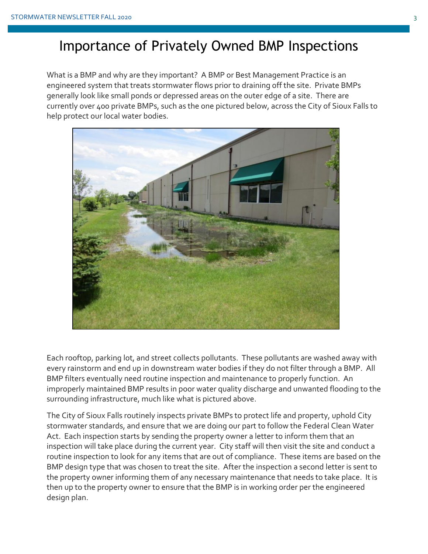### Importance of Privately Owned BMP Inspections

What is a BMP and why are they important? A BMP or Best Management Practice is an engineered system that treats stormwater flows prior to draining off the site. Private BMPs generally look like small ponds or depressed areas on the outer edge of a site. There are currently over 400 private BMPs, such as the one pictured below, across the City of Sioux Falls to help protect our local water bodies.



Each rooftop, parking lot, and street collects pollutants. These pollutants are washed away with every rainstorm and end up in downstream water bodies if they do not filter through a BMP. All BMP filters eventually need routine inspection and maintenance to properly function. An improperly maintained BMP results in poor water quality discharge and unwanted flooding to the surrounding infrastructure, much like what is pictured above.

The City of Sioux Falls routinely inspects private BMPs to protect life and property, uphold City stormwater standards, and ensure that we are doing our part to follow the Federal Clean Water Act. Each inspection starts by sending the property owner a letter to inform them that an inspection will take place during the current year. City staff will then visit the site and conduct a routine inspection to look for any items that are out of compliance. These items are based on the BMP design type that was chosen to treat the site. After the inspection a second letter is sent to the property owner informing them of any necessary maintenance that needs to take place. It is then up to the property owner to ensure that the BMP is in working order per the engineered design plan.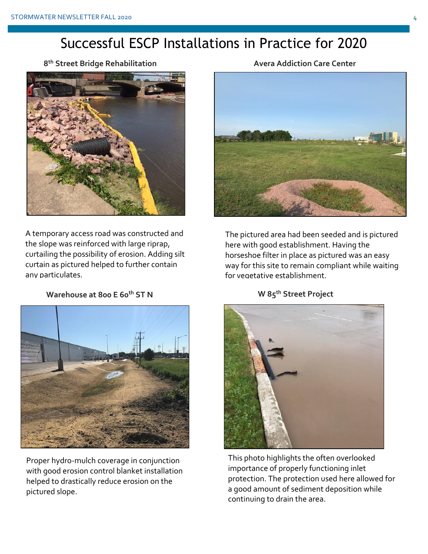# Successful ESCP Installations in Practice for 2020

**8 Avera Addiction Care Center th Street Bridge Rehabilitation**



A temporary access road was constructed and the slope was reinforced with large riprap, curtailing the possibility of erosion. Adding silt curtain as pictured helped to further contain any particulates.

**Warehouse at 800 E 60<sup>th</sup> ST N** W 85<sup>th</sup> Street Project



Proper hydro-mulch coverage in conjunction with good erosion control blanket installation helped to drastically reduce erosion on the pictured slope.



The pictured area had been seeded and is pictured here with good establishment. Having the horseshoe filter in place as pictured was an easy way for this site to remain compliant while waiting for vegetative establishment.



This photo highlights the often overlooked importance of properly functioning inlet protection. The protection used here allowed for a good amount of sediment deposition while continuing to drain the area.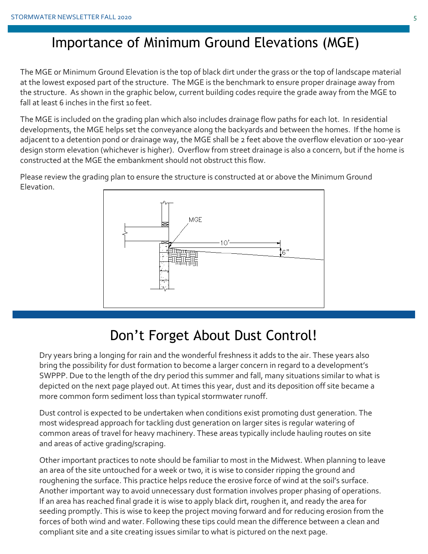# Importance of Minimum Ground Elevations (MGE)

The MGE or Minimum Ground Elevation is the top of black dirt under the grass or the top of landscape material at the lowest exposed part of the structure. The MGE is the benchmark to ensure proper drainage away from the structure. As shown in the graphic below, current building codes require the grade away from the MGE to fall at least 6 inches in the first 10 feet.

The MGE is included on the grading plan which also includes drainage flow paths for each lot. In residential developments, the MGE helps set the conveyance along the backyards and between the homes. If the home is adjacent to a detention pond or drainage way, the MGE shall be 2 feet above the overflow elevation or 100-year design storm elevation (whichever is higher). Overflow from street drainage is also a concern, but if the home is constructed at the MGE the embankment should not obstruct this flow.

Please review the grading plan to ensure the structure is constructed at or above the Minimum Ground Elevation.



# Don't Forget About Dust Control!

Dry years bring a longing for rain and the wonderful freshness it adds to the air. These years also bring the possibility for dust formation to become a larger concern in regard to a development's SWPPP. Due to the length of the dry period this summer and fall, many situations similar to what is depicted on the next page played out. At times this year, dust and its deposition off site became a more common form sediment loss than typical stormwater runoff.

Dust control is expected to be undertaken when conditions exist promoting dust generation. The most widespread approach for tackling dust generation on larger sites is regular watering of common areas of travel for heavy machinery. These areas typically include hauling routes on site and areas of active grading/scraping.

Other important practices to note should be familiar to most in the Midwest. When planning to leave an area of the site untouched for a week or two, it is wise to consider ripping the ground and roughening the surface. This practice helps reduce the erosive force of wind at the soil's surface. Another important way to avoid unnecessary dust formation involves proper phasing of operations. If an area has reached final grade it is wise to apply black dirt, roughen it, and ready the area for seeding promptly. This is wise to keep the project moving forward and for reducing erosion from the forces of both wind and water. Following these tips could mean the difference between a clean and compliant site and a site creating issues similar to what is pictured on the next page.